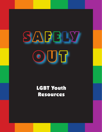

# LGBT Youth Resources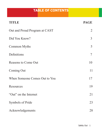# **TABLE OF CONTENTS**

| TITLE                         | <b>PAGE</b> |
|-------------------------------|-------------|
| Out and Proud Program at CAST | 2           |
| Did You Know?                 | 3           |
| Common Myths                  | 5           |
| Definitions                   | 7           |
| Reasons to Come Out           | 10          |
| Coming Out                    | 11          |
| When Someone Comes Out to You | 17          |
| Resources                     | 19          |
| "Out" on the Internet         | 21          |
| Symbols of Pride              | 23          |
| Acknowledgements              | 28          |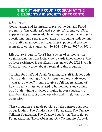# **THE OUT AND PROUD PROGRAM AT THE CHILDREN'S AID SOCIETY OF TORONTO**

## *What We Do…*

Consultations and Referrals: As part of the Out and Proud program at The Children's Aid Society of Toronto (CAST), experienced staff are available to meet with youth who may be questioning their sexual orientation or struggling with coming out. Staff can answer questions, offer support and provide referrals to outside agencies. 416-924-4640 ext 3055 or 3059.

Life House Program: CAST has a series of residences for youth moving on from foster care towards independence. One of these residences is specifically designated for LGBT youth. Speak to your worker about a referral to this program.

Training for Staff and Youth: Training for staff includes both a basic understanding of LGBT issues and more advanced "what-to-do-when" training to give a full understanding of how to deal with issues related to homophobia and coming out. Youth training involves bringing in peer educators to talk about the impact of homophobia and its relation to other oppressions.

These programs are made possible by the generous support of our funders: The Children's Aid Foundation, The Ontario Trillium Foundation, The Change Foundation, The Laidlaw Foundation, and The Lesbian and Gay Community Appeal.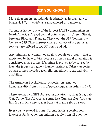# **DID YOU KNOW?**

More than one in ten individuals identify as lesbian, gay or bisexual. 1.8% identify as transgendered or transsexual.

Toronto is home to one of the largest LGBT communities in North America. A good central point to start is Church Street, between Bloor and Dundas. Check out the 519 Community Centre at 519 Church Street where a variety of programs and services are offered to LGBT youth and adults.

Any criminal act committed against people or property that is motivated by hate or bias because of their sexual orientation is considered a hate crime. If a crime is proven to be caused by hate, the judges can give a harsher sentence. Other categories of hate crimes include race, religion, ethnicity, sex and ability/ disability.

The American Psychological Association removed homosexuality from its list of psychological disorders in 1973.

There are many LGBT-focused publications such as Xtra, Fab, Out, Curve, The Advocate. Some, like Xtra, are free. You can find Xtra in Xtra newspaper boxes at many subway stops.

Every last weekend in June, Toronto holds a celebration known as Pride. Over one million people from all over the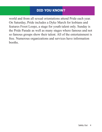# **DID YOU KNOW?**

world and from all sexual orientations attend Pride each year. On Saturday, Pride includes a Dyke March for lesbians and features Froot Loopz, a stage for youth talent only. Sunday is the Pride Parade as well as many stages where famous and not so famous groups show their talent. All of the entertainment is free. Numerous organizations and services have information booths.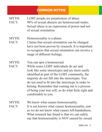# **COMMON MYTHS**

- MYTH: LGBT people are perpetrators of abuse. FACT: 90% of sexual abusers are heterosexual males. Sexual abuse is an expression of power and not of sexual orientation.
- MYTH: Homosexuality is a phase.
- FACT: Claims that sexual orientation can be changed have not been proven by research. It is important to recognize that sexual orientation can involve a range of different feelings.

MYTH: You can spot a homosexual.

- FACT: While some LGBT individuals do act and look like some stereotypes and are more easily identified as part of the LGBT community, the majority do not fall into the stereotypes. You do not need to fit into the stereotype in order to belong. Remember that coming out is a process of being your true self, so do what feels right and comfortable to you.
- MYTH: We know what causes homosexuality. FACT: It is not known what causes homosexuality, just as we do not know what causes left-handedness. What research has found is that we can safely say that homosexuality is NOT caused by sexual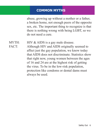# **COMMON MYTHS**

abuse, growing up without a mother or a father, a broken home, not enough peers of the opposite sex, etc. The important thing to recognize is that there is nothing wrong with being LGBT, so we do not need a cure.

MYTH: HIV & AIDS is a gay male disease. FACT: Although HIV and AIDS originally seemed to affect just the gay population, we know today that AIDS does not discriminate. Statistics show that right now, young women between the ages of 16 and 24 are at the highest risk of getting the virus. To be in the low-risk population, protection like condoms or dental dams must always be used.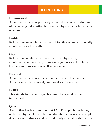#### **Homosexual:**

An individual who is primarily attracted to another individual of the same gender. Attraction can be physical, emotional and/ or sexual.

### **Lesbian:**

Refers to women who are attracted to other women physically, emotionally and sexually.

### **Gay:**

Refers to men who are attracted to men physically, emotionally, and sexually. Sometimes gay is used to refer to lesbians and bisexuals as well as gay men.

### **Bisexual:**

An individual who is attracted to members of both sexes. Attraction can be physical, emotional and/or sexual.

# **LGBT:**

This stands for lesbian, gay, bisexual, transgendered and transsexual

# **Queer:**

A term that has been used to hurt LGBT people but is being reclaimed by LGBT people. For straight (heterosexual) people it is not a term that should be used easily since it is still used to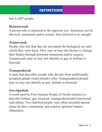hurt LGBT people.

### **Heterosexual:**

A person who is attracted to the opposite sex. Attraction can be physical, emotional and/or sexual. Also referred to as straight.

#### **Transsexual:**

People who feel that they do not match the biological sex into which they were born. They may or may not choose to change their bodies through hormone treatments and/or surgery. Transsexuals may or may not identify as gay or lesbian or bisexual.

#### **Transgendered:**

A term that describes people who deviate from traditionally accepted gender (male/female) roles. Transgendered people may or may not identify as gay, lesbian or bisexual.

### **Two-Spirited:**

A word used by First Nations People of North America to describe lesbian, gay, bisexual, transgendered and transsexual individuals. Two-Spirited people were often awarded special status by their community and acted as spiritual leaders (Shamans).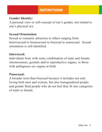### **Gender Identity:**

A personal view or self-concept of one's gender, not related to one's physical sex.

## **Sexual Orientation:**

Sexual or romantic attraction to others ranging from heterosexual to homosexual to bisexual to nonsexual. Sexual orientation is self-identified.

#### **Intersexed:**

Individuals born with some combination of male and female chromosomes, genitals and/or reproductive organs, or those with ambiguous sex organs at birth.

### **Pansexual:**

A broader term than bisexual because it includes not only loving both men and women, but also transgendered people and gender fluid people who do not feel they fit into categories of male or female.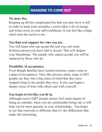#### **No more lies.**

Keeping up all the complicated lies that you may have to tell in order to keep your sexuality a secret takes a lot of energy and wears away at your self-confidence. It can feel like a huge relief once the secret is out.

#### **You find real support for who you are.**

You will learn who can accept the real you, not some fictitious person you have had to invent. This will deepen your friendships. The people who cannot accept you will be replaced by those who do.

## **Possibility of acceptance.**

Even though families have mixed reactions, many come to a place of acceptance. Once this process starts, many LGBT people say they feel a big sense of relief that they have stopped lying to the people they love. It also can begin a deeper sense of trust with others and with yourself.

### **You begin to feel like you fit in.**

Although most LGBT people always feel some degree of being an outsider, when you are comfortable being out, it will help you be more genuine in your relationships. You begin to see that everyone is different, that it's the differences that make life interesting.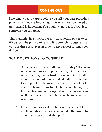# **COMING OUT**

Knowing what to expect before you tell your care providers/ parents that you are lesbian, gay, bisexual, transgendered or transsexual is important. You might want to talk about it to someone you can trust.

This pamphlet lists supportive and trustworthy places to call if you want help in coming out. It is strongly suggested that you use these resources in order to get support if things get difficult.

## **SOME QUESTIONS TO CONSIDER**

- 1. Are you comfortable with your sexuality? If you are not sure and maybe experiencing guilt or periods of depression, have a trusted person to talk to after coming out in order to help deal with these feelings. Coming out can be tiring and can require a lot of energy. Having a positive feeling about being gay, lesbian, bisexual or transgendered/transsexual can really help when you are faced with any negative reactions
- 2. Do you have support? If the reaction is horrible, are there others that you can confidently turn to for emotional support and strength?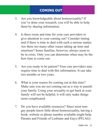- 3. Are you knowledgeable about homosexuality? If you've done your research, you will be able to help them by sharing information.
- 4. Is there room and time for your care providers to give attention to your coming out? Consider timing and if there is time to deal with such a serious matter. Are there too many other issues taking up time and emotions? Some families, however, always seem to be in crisis. Only you can determine when may be the best time to come out.
- 5. Are you ready to be patient? Your care providers may require time to deal with this information. It can take two months or two years.
- 6. What is your reason for coming out at this time? Make sure you are not coming out as a way to punish your family. Using your sexuality to get back at your family will not be helpful; it will only make things more complicated.
- 7. Do you have available resources? Since most nongay people know little about homosexuality, having a book, website or phone number available might help. Parents and Friends of Lesbians and Gays (PFLAG)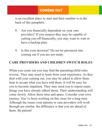is an excellent place to start and their number is in the back of this pamphlet.

- 8. Are you financially dependent on your care providers? If you suspect they may be capable of cutting you off financially, you may want to wait or have a backup plan.
- 9. Is this your decision? Do not be pressured into coming out if you are not ready.

## **CARE PROVIDERS AND CHILDREN SWITCH ROLES**

When you come out you may find the parenting/child roles reverse. They may need to learn from your experience. As they deal with your coming out, you may be asked to allow them time to accept what you have told them. It will be easy for you to become impatient. They may need you to repeat many things you have already talked about. Their understanding will come slowly. Allow them time and space. Consider your own journey. You've been working on this issue for a long time. Although the issues your parents or care providers will work through are similar, the difference is that you are ahead of them. Be patient!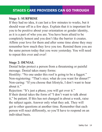# **STAGES CARE PROVIDERS CAN GO THROUGH**

#### **Stage 1: SURPRISE**

If they had no idea, it can last a few minutes to weeks, but it should wear off in a few days. Explain that it is important for you to be positive about your orientation or gender identity, as it is a part of who you are. You have been afraid to be completely honest and you don't like the barrier it creates. Affirm your love for them and after some time alone they may remember how much they love you too. Remind them you are the same person today that you were yesterday. You will need to repeat this over and over!

#### **Stage 2: DENIAL**

Denial helps protect a person from a threatening or painful message. Denial takes many forms:

Hostility: "No one under this roof is going to be a faggot." Non-registering: "That's nice; what do you want for dinner?" Non-caring: "If you choose that lifestyle, I don't want to hear about it."

Rejection: "It's just a phase, you will get over it."

If their denial takes the form of "I don't want to talk about it," be patient. If this has not changed in about a week, raise the subject again. Answer only what they ask. They will get to other questions at another time. Remember that each person will react differently, so you'll have to respond on an individual basis.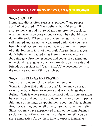### **Stage 3: GUILT**

Homosexuality is often seen as a "problem" and people ask, "What caused it?" They believe that if they can find a cause they can find a cure. Many care providers look for what they may have done wrong or what they should have done differently. When care providers feel guilty, they are self-centred and are not yet concerned with what you have been through. Often they are not able to admit their sense of guilt. Tell them it is not their fault. Assure them that you don't believe they caused it, as there is no known cause for being gay. Provide resources and books. Be patient and understanding. Suggest your care providers call Parents and Friends of Lesbians and Gays (PFLAG) whose number is in the resource section of this pamphlet.

### **Stage 4: FEELINGS EXPRESSED**

Your care providers acknowledge their emotions. When it is clear that guilt is not useful, they may be ready to ask questions, listen to answers and acknowledge their feelings. This is where some of the most helpful conversations between you and your care providers will take place. Expect a full range of feelings: disappointment about the future, shame, fear, not wanting you to tell others, hurt and sometimes relief. Since you may have experienced many of the same feelings (isolation, fear of rejection, hurt, confusion, relief), you can share similarities. Allow them time to express themselves.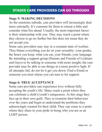## **Stage 5: MAKING DECISIONS**

As the emotions subside, care providers will increasingly deal more rationally. It's common for them to retreat a little and consider what lies ahead. Usually, the most important factor is their relationship with you. They may reach a point where they choose to go no further but this does not mean they do not accept you.

Some care providers may stay in a constant state of warfare. They blame everything you do on your sexuality: your grades, the hours you keep, what you eat, your friends, your language. By attending a support group (Parents and Friends of Lesbians and Gays) or by talking to someone with more insight, the care provider may be able to see things in a more positive light. If all attempts fail, do not let it get you down. Find a friend or someone you trust whom you can turn to for support.

### **Stage 6: TRUE ACCEPTANCE**

Some care providers can experience love without fully accepting the youth's life. Many reach a point where they can celebrate a child's/youth's uniqueness. At this stage they face up to their own guilt. They re-examine their behaviour over the years and begin to understand the problems they unknowingly created for their child. They can come to a point where they share in your pride in being who you are as an LGBT person.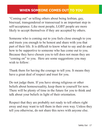# **WHEN SOMEONE COMES OUT TO YOU**

"Coming out" or telling others about being lesbian, gay, bisexual, transgendered or transsexual is an important step in self-acceptance. Like most people, LGBT people are more likely to accept themselves if they are accepted by others.

Someone who is coming out to you feels close enough to you and trusts you enough to be honest and share with you that part of their life. It is difficult to know what to say and do and how to be supportive to someone who has come out to you. Because they have chosen you to tell does not mean they are "coming on" to you. Here are some suggestions you may wish to follow:

Thank them for having the courage to tell you. It means they have a great deal of respect and trust for you.

Do not judge them. If you have strong religious or other beliefs about homosexuality, keep them to yourself for now. There will be plenty of time in the future for you to think and talk about your beliefs in light of their orientation.

Respect that they are probably not ready to tell others right away and may want to tell them in their own way. Unless they tell you otherwise, do not share this news with anyone else.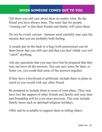# **WHEN SOMEONE COMES OUT TO YOU**

Tell them you still care about them no matter what. Be the friend you have always been. The main fear for people "coming out" is that their friends and family will reject them.

Do not be overly serious - humour used carefully may ease the tension that you are probably both feeling.

A simple pat on the back or a hug (with permission) can let them know that you still care and that you don't think you will "catch" anything.

Ask any questions that you may have but be prepared that they may not have all the answers. You can save some for later, or better yet, you could find some of the answers together.

If they have a boyfriend or girlfriend, include them in plans as much as you would with any other friend.

Be prepared to include them in more of your plans. They may have lost the support of other friends and family and your time and friendship will be even more precious. This may include family times such as spiritual/religious holidays.

Offer and be available to support them in telling others.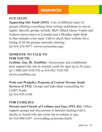### **FUN STUFF**

*Supporting Our Youth (SOY)*: Lots of different types of groups offering everything from writing workshops to movie nights. Specific groups include: BQY (Black Queer Youth) and Express (newcomers to Canada) and a Monday night dropin that includes a hot meal. Call or check their website for a listing of all the groups currently meeting. tel 416-324-5077 (www.soytoronto.org)

# **SOMEONE TO TALK TO FOR YOUTH:**

*Lesbian, Gay, Bi, Youthline*: Anonymous and confidential peer support line run by trained youth for ages up to 26 years. tel 1-800-268-YOUTH or 416-962-YOUTH (www.youthline.ca)

*Pride and Prejudice Program of Central Toronto Youth Services (CTYS)*: Groups and individual counselling for LGBT Youth. tel 416-924-2100

# **FOR FAMILIES:**

*Parents and Friends of Lesbians and Gays (PFLAG)*: Offers support groups and discussions to families dealing with a family or friend who has come out as lesbian or gay. tel 416-406-6387 (www.pflag.ca/toronto.html)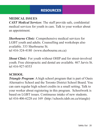### **MEDICAL ISSUES**

*CAST Medical Services*: The staff provide safe, confidential medical services for youth in care. Talk to your worker about an appointment.

*Sherbourne Clinic*: Comprehensive medical services for LGBT youth and adults. Counselling and workshops also available. 333 Sherbourne St. tel 416-324-4180 (www.sherbourne.on.ca)

*Shout Clinic*: For youth without OHIP and for street-involved youth. Free chiropractic and dental are available. 467 Jarvis St. tel 416-927-8553

### **SCHOOL**

*Triangle Program*: A high school program that is part of Oasis Alternative School and the Toronto District School Board. You can earn regular high school credits in a small setting. Talk to your worker about registering in this program. Schoolwork is based on LGBT issues. Continuous intake of new students. tel 416-406-6228 ext 169 (http://schools.tdsb.on.ca/triangle)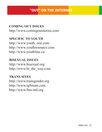# **"OUT" ON THE INTERNET**

## **COMING OUT ISSUES**

http://www.comingoutstories.com

# **SPECIFIC TO YOUTH**

http://www.youth\_one.com http://www.youthresource.com http://www.youthline.ca

### **BISEXUAL ISSUES**

http://www.bisexual.org http://www.bi\_the\_way.com

### **TRANS SITES**

http://www.transgender.org http://www.tgforum.com http://www.ftm-intl.org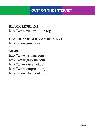# **"OUT" ON THE INTERNET**

## **BLACK LESBIANS**

http://www.zunainstitute.org

**GAY MEN OF AFRICAN DESCENT** http://www.gmad.org

### **MORE**

http://www.lesbian.com http://www.gaygate.com http://www.queernet.com http://www.outproud.org http://www.planetout.com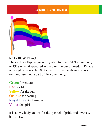

# **RAINBOW FLAG**

The rainbow flag began as a symbol for the LGBT community in 1978 when it appeared at the San Francisco Freedom Parade with eight colours. In 1979 it was finalized with six colours, each representing a part of the community.

**Green** for nature **Red** for life **Yellow** for the sun **Orange** for healing **Royal Blue** for harmony **Violet** for spirit

It is now widely known for the symbol of pride and diversity it is today.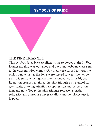

### **THE PINK TRIANGLE**

This symbol dates back to Hitler's rise to power in the 1930s. Homosexuality was outlawed and gays and lesbians were sent to the concentration camps. Gay men were forced to wear the pink triangle just as the Jews were forced to wear the yellow star to identify which group they belonged to. In 1970, gay liberation groups reclaimed the pink triangle as a symbol for gay rights, drawing attention to oppression and persecution then and now. Today the pink triangle represents pride, solidarity and a promise never to allow another Holocaust to happen.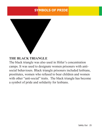

### **THE BLACK TRIANGLE**

The black triangle was also used in Hitler's concentration camps. It was used to designate women prisoners with antisocial behaviours. Black triangle prisoners included lesbians, prostitutes, women who refused to bear children and women with other "anti-social" traits. The black triangle has become a symbol of pride and solidarity for lesbians.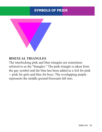

### **BISEXUAL TRIANGLES**

The interlocking pink and blue triangles are sometimes referred to as the "biangles." The pink triangle is taken from the gay symbol and the blue has been added as a foil for pink -- pink for girls and blue for boys. The overlapping purple represents the middle ground bisexuals fall into.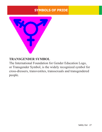

# **TRANSGENDER SYMBOL**

The International Foundation for Gender Education Logo, or Transgender Symbol, is the widely recognized symbol for cross-dressers, transvestites, transsexuals and transgendered people.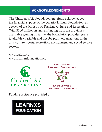# **ACKNOWLEDGEMENTS**

The Children's Aid Foundation gratefully acknowledges the financial support of the Ontario Trillium Foundation, an agency of the Ministry of Tourism, Culture and Recreation. With \$100 million in annual funding from the province's charitable gaming initiative, the Foundation provides grants to eligible charitable and not-for-profit organizations in the arts, culture, sports, recreation, environment and social service sectors.

www.cafdn.org www.trilliumfoundation.org



THE ONTARIO **TRILLIUM FOUNDATION** 



**LA FONDATION** TRILLIUM DE L'ONTARIO

Funding assistance provided by